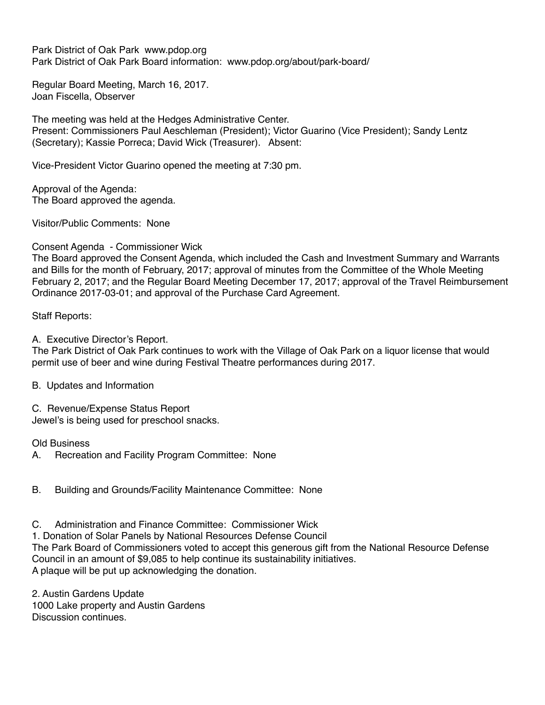Park District of Oak Park www.pdop.org Park District of Oak Park Board information: www.pdop.org/about/park-board/

Regular Board Meeting, March 16, 2017. Joan Fiscella, Observer

The meeting was held at the Hedges Administrative Center. Present: Commissioners Paul Aeschleman (President); Victor Guarino (Vice President); Sandy Lentz (Secretary); Kassie Porreca; David Wick (Treasurer). Absent:

Vice-President Victor Guarino opened the meeting at 7:30 pm.

Approval of the Agenda: The Board approved the agenda.

Visitor/Public Comments: None

Consent Agenda - Commissioner Wick

The Board approved the Consent Agenda, which included the Cash and Investment Summary and Warrants and Bills for the month of February, 2017; approval of minutes from the Committee of the Whole Meeting February 2, 2017; and the Regular Board Meeting December 17, 2017; approval of the Travel Reimbursement Ordinance 2017-03-01; and approval of the Purchase Card Agreement.

Staff Reports:

A. Executive Director's Report.

The Park District of Oak Park continues to work with the Village of Oak Park on a liquor license that would permit use of beer and wine during Festival Theatre performances during 2017.

B. Updates and Information

C. Revenue/Expense Status Report

Jewel's is being used for preschool snacks.

Old Business

A. Recreation and Facility Program Committee: None

B. Building and Grounds/Facility Maintenance Committee: None

C. Administration and Finance Committee: Commissioner Wick

1. Donation of Solar Panels by National Resources Defense Council

The Park Board of Commissioners voted to accept this generous gift from the National Resource Defense Council in an amount of \$9,085 to help continue its sustainability initiatives. A plaque will be put up acknowledging the donation.

2. Austin Gardens Update 1000 Lake property and Austin Gardens Discussion continues.